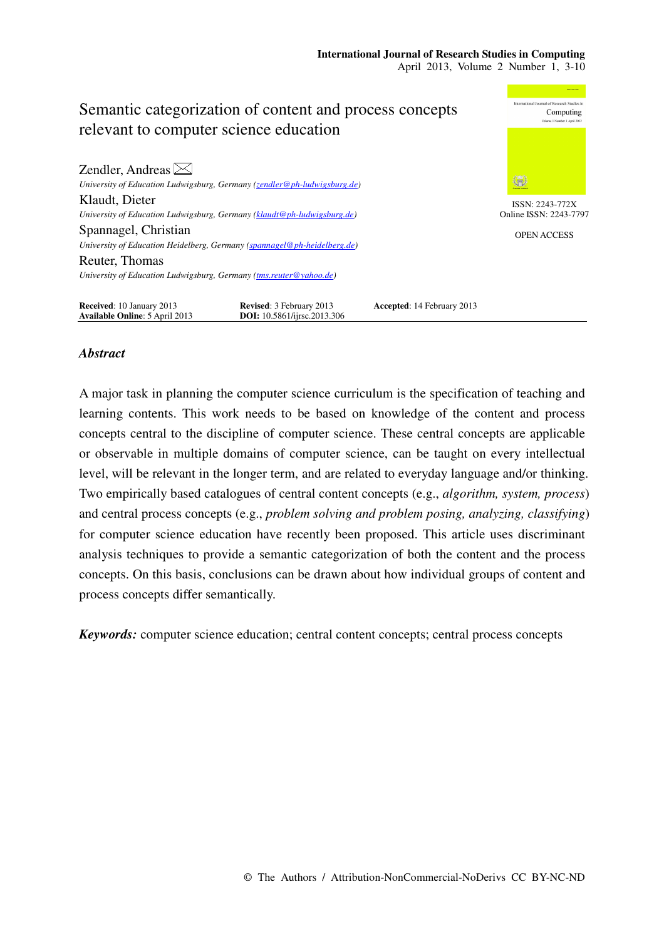

## *Abstract*

A major task in planning the computer science curriculum is the specification of teaching and learning contents. This work needs to be based on knowledge of the content and process concepts central to the discipline of computer science. These central concepts are applicable or observable in multiple domains of computer science, can be taught on every intellectual level, will be relevant in the longer term, and are related to everyday language and/or thinking. Two empirically based catalogues of central content concepts (e.g., *algorithm, system, process*) and central process concepts (e.g., *problem solving and problem posing, analyzing, classifying*) for computer science education have recently been proposed. This article uses discriminant analysis techniques to provide a semantic categorization of both the content and the process concepts. On this basis, conclusions can be drawn about how individual groups of content and process concepts differ semantically.

*Keywords:* computer science education; central content concepts; central process concepts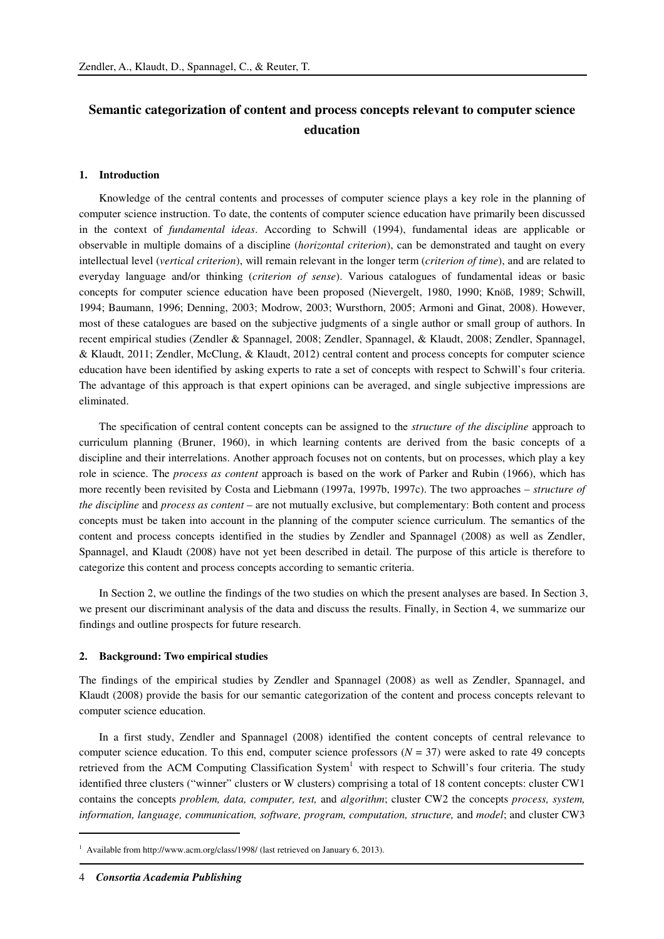# **Semantic categorization of content and process concepts relevant to computer science education**

#### **1. Introduction**

Knowledge of the central contents and processes of computer science plays a key role in the planning of computer science instruction. To date, the contents of computer science education have primarily been discussed in the context of *fundamental ideas*. According to Schwill (1994), fundamental ideas are applicable or observable in multiple domains of a discipline (*horizontal criterion*), can be demonstrated and taught on every intellectual level (*vertical criterion*), will remain relevant in the longer term (*criterion of time*), and are related to everyday language and/or thinking (*criterion of sense*). Various catalogues of fundamental ideas or basic concepts for computer science education have been proposed (Nievergelt, 1980, 1990; Knöß, 1989; Schwill, 1994; Baumann, 1996; Denning, 2003; Modrow, 2003; Wursthorn, 2005; Armoni and Ginat, 2008). However, most of these catalogues are based on the subjective judgments of a single author or small group of authors. In recent empirical studies (Zendler & Spannagel, 2008; Zendler, Spannagel, & Klaudt, 2008; Zendler, Spannagel, & Klaudt, 2011; Zendler, McClung, & Klaudt, 2012) central content and process concepts for computer science education have been identified by asking experts to rate a set of concepts with respect to Schwill's four criteria. The advantage of this approach is that expert opinions can be averaged, and single subjective impressions are eliminated.

The specification of central content concepts can be assigned to the *structure of the discipline* approach to curriculum planning (Bruner, 1960), in which learning contents are derived from the basic concepts of a discipline and their interrelations. Another approach focuses not on contents, but on processes, which play a key role in science. The *process as content* approach is based on the work of Parker and Rubin (1966), which has more recently been revisited by Costa and Liebmann (1997a, 1997b, 1997c). The two approaches – *structure of the discipline* and *process as content* – are not mutually exclusive, but complementary: Both content and process concepts must be taken into account in the planning of the computer science curriculum. The semantics of the content and process concepts identified in the studies by Zendler and Spannagel (2008) as well as Zendler, Spannagel, and Klaudt (2008) have not yet been described in detail. The purpose of this article is therefore to categorize this content and process concepts according to semantic criteria.

In Section 2, we outline the findings of the two studies on which the present analyses are based. In Section 3, we present our discriminant analysis of the data and discuss the results. Finally, in Section 4, we summarize our findings and outline prospects for future research.

#### **2. Background: Two empirical studies**

The findings of the empirical studies by Zendler and Spannagel (2008) as well as Zendler, Spannagel, and Klaudt (2008) provide the basis for our semantic categorization of the content and process concepts relevant to computer science education.

In a first study, Zendler and Spannagel (2008) identified the content concepts of central relevance to computer science education. To this end, computer science professors  $(N = 37)$  were asked to rate 49 concepts retrieved from the ACM Computing Classification System<sup>1</sup> with respect to Schwill's four criteria. The study identified three clusters ("winner" clusters or W clusters) comprising a total of 18 content concepts: cluster CW1 contains the concepts *problem, data, computer, test,* and *algorithm*; cluster CW2 the concepts *process, system, information, language, communication, software, program, computation, structure,* and *model*; and cluster CW3

<sup>&</sup>lt;sup>1</sup> Available from http://www.acm.org/class/1998/ (last retrieved on January 6, 2013).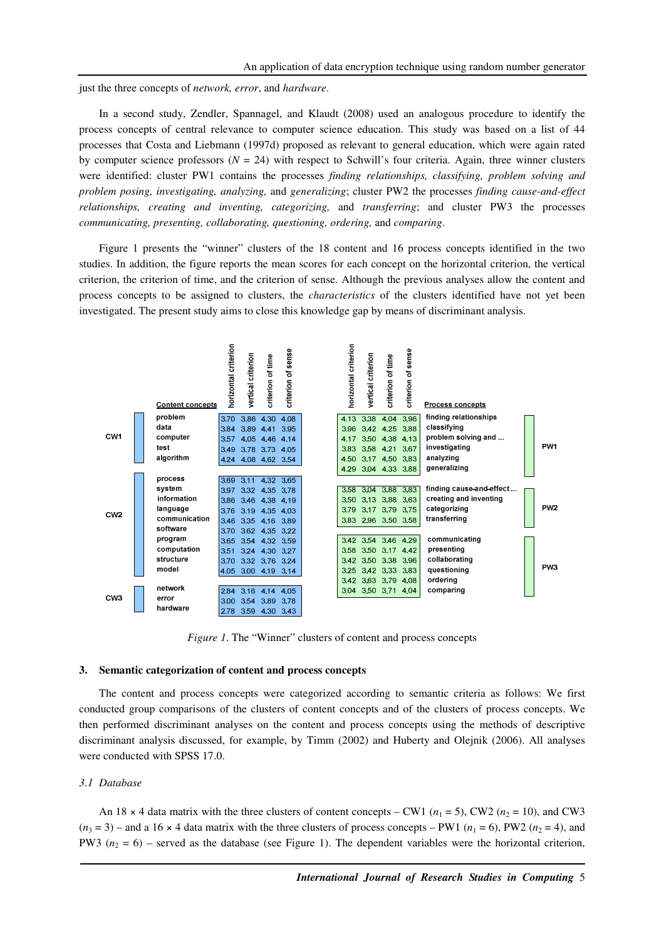just the three concepts of *network, error*, and *hardware*.

In a second study, Zendler, Spannagel, and Klaudt (2008) used an analogous procedure to identify the process concepts of central relevance to computer science education. This study was based on a list of 44 processes that Costa and Liebmann (1997d) proposed as relevant to general education, which were again rated by computer science professors  $(N = 24)$  with respect to Schwill's four criteria. Again, three winner clusters were identified: cluster PW1 contains the processes *finding relationships, classifying, problem solving and problem posing, investigating, analyzing,* and *generalizing*; cluster PW2 the processes *finding cause-and-effect relationships, creating and inventing, categorizing,* and *transferring*; and cluster PW3 the processes *communicating, presenting, collaborating, questioning, ordering,* and *comparing*.

Figure 1 presents the "winner" clusters of the 18 content and 16 process concepts identified in the two studies. In addition, the figure reports the mean scores for each concept on the horizontal criterion, the vertical criterion, the criterion of time, and the criterion of sense. Although the previous analyses allow the content and process concepts to be assigned to clusters, the *characteristics* of the clusters identified have not yet been investigated. The present study aims to close this knowledge gap by means of discriminant analysis.



*Figure 1*. The "Winner" clusters of content and process concepts

## **3. Semantic categorization of content and process concepts**

The content and process concepts were categorized according to semantic criteria as follows: We first conducted group comparisons of the clusters of content concepts and of the clusters of process concepts. We then performed discriminant analyses on the content and process concepts using the methods of descriptive discriminant analysis discussed, for example, by Timm (2002) and Huberty and Olejnik (2006). All analyses were conducted with SPSS 17.0.

## *3.1 Database*

An 18  $\times$  4 data matrix with the three clusters of content concepts – CW1 ( $n_1$  = 5), CW2 ( $n_2$  = 10), and CW3  $(n_3 = 3)$  – and a 16 x 4 data matrix with the three clusters of process concepts – PW1  $(n_1 = 6)$ , PW2  $(n_2 = 4)$ , and PW3  $(n_2 = 6)$  – served as the database (see Figure 1). The dependent variables were the horizontal criterion,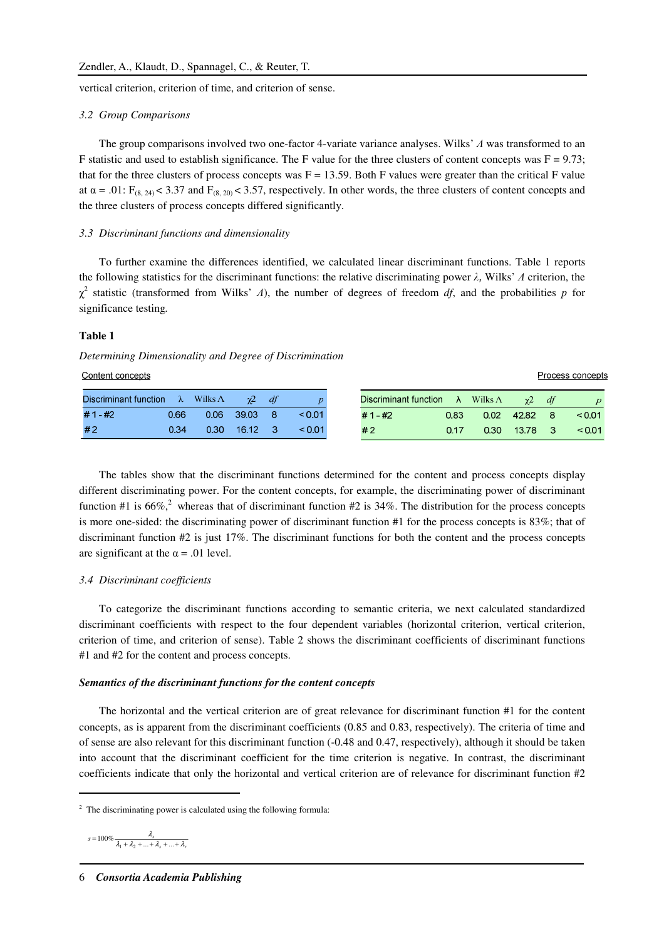vertical criterion, criterion of time, and criterion of sense.

#### *3.2 Group Comparisons*

The group comparisons involved two one-factor 4-variate variance analyses. Wilks' Λ was transformed to an F statistic and used to establish significance. The F value for the three clusters of content concepts was  $F = 9.73$ ; that for the three clusters of process concepts was  $F = 13.59$ . Both F values were greater than the critical F value at  $\alpha = .01$ : F<sub>(8, 24)</sub> < 3.37 and F<sub>(8, 20)</sub> < 3.57, respectively. In other words, the three clusters of content concepts and the three clusters of process concepts differed significantly.

#### *3.3 Discriminant functions and dimensionality*

To further examine the differences identified, we calculated linear discriminant functions. Table 1 reports the following statistics for the discriminant functions: the relative discriminating power  $\lambda$ , Wilks'  $\Lambda$  criterion, the  $\chi^2$  statistic (transformed from Wilks' *Λ*), the number of degrees of freedom *df*, and the probabilities *p* for significance testing*.*

## **Table 1**

#### *Determining Dimensionality and Degree of Discrimination*

| Content concepts      |           |                 |       |                |          |                       |           |                |       |    | Process concepts |
|-----------------------|-----------|-----------------|-------|----------------|----------|-----------------------|-----------|----------------|-------|----|------------------|
| Discriminant function | $\lambda$ | Wilks $\Lambda$ | γ2    | df             |          | Discriminant function | $\lambda$ | Wilks $\wedge$ | γ2    | dt |                  |
| $# 1 - #2$            | 0.66      | 0.06            | 3903  | 8 <sup>7</sup> | $<$ 0.01 | # 1 - #2              | 0.83      | 0.02           | 42.82 | 8  | < 0.01           |
| #2                    | 0.34      | 0.30            | 16.12 | - 37           | < 0.01   | #2                    | 0.17      | 0.30           | 13.78 |    | < 0.01           |

The tables show that the discriminant functions determined for the content and process concepts display different discriminating power. For the content concepts, for example, the discriminating power of discriminant function #1 is  $66\%$ ,<sup>2</sup> whereas that of discriminant function #2 is 34%. The distribution for the process concepts is more one-sided: the discriminating power of discriminant function #1 for the process concepts is 83%; that of discriminant function #2 is just 17%. The discriminant functions for both the content and the process concepts are significant at the  $\alpha$  = .01 level.

#### *3.4 Discriminant coefficients*

To categorize the discriminant functions according to semantic criteria, we next calculated standardized discriminant coefficients with respect to the four dependent variables (horizontal criterion, vertical criterion, criterion of time, and criterion of sense). Table 2 shows the discriminant coefficients of discriminant functions #1 and #2 for the content and process concepts.

#### *Semantics of the discriminant functions for the content concepts*

The horizontal and the vertical criterion are of great relevance for discriminant function #1 for the content concepts, as is apparent from the discriminant coefficients (0.85 and 0.83, respectively). The criteria of time and of sense are also relevant for this discriminant function (-0.48 and 0.47, respectively), although it should be taken into account that the discriminant coefficient for the time criterion is negative. In contrast, the discriminant coefficients indicate that only the horizontal and vertical criterion are of relevance for discriminant function #2

$$
s=100\%\frac{\lambda_s}{\lambda_1+\lambda_2+...+\lambda_s+...+\lambda_r}
$$

 $2$  The discriminating power is calculated using the following formula: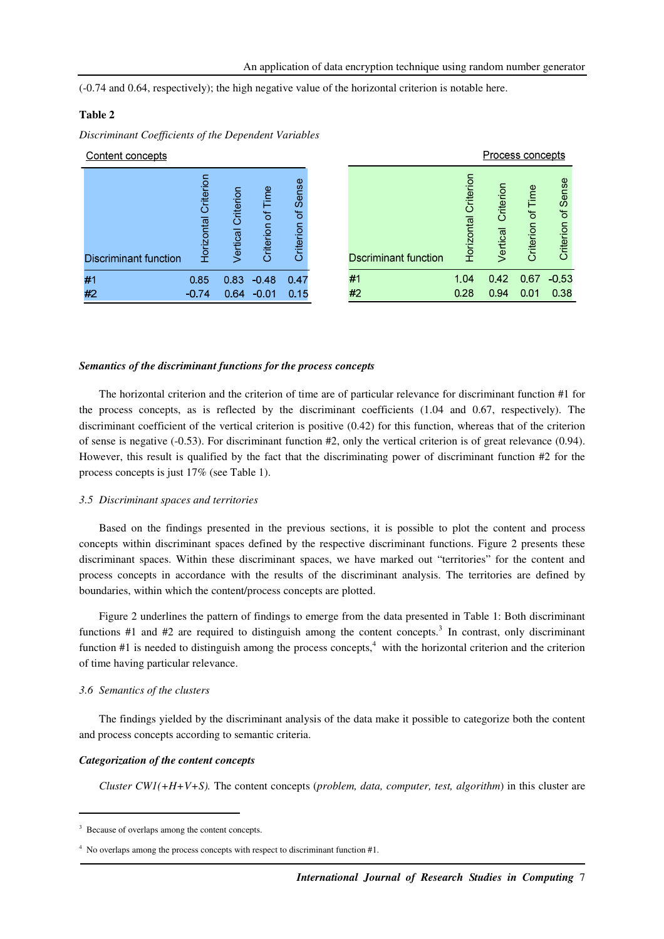(-0.74 and 0.64, respectively); the high negative value of the horizontal criterion is notable here.

## **Table 2**

*Discriminant Coefficients of the Dependent Variables* 

| Content concepts      |                      |                    |                   |                    |  |  |  |  |
|-----------------------|----------------------|--------------------|-------------------|--------------------|--|--|--|--|
| Discriminant function | Horizontal Criterion | Vertical Criterion | Criterion of Time | Criterion of Sense |  |  |  |  |
| #1                    | 0.85                 | 0.83               | $-0.48$           | 0.47               |  |  |  |  |
| #2                    | $-0.74$              | 0.64               | $-0.01$           | 0.15               |  |  |  |  |

|                             |                      | Process concepts      |                   |                    |  |
|-----------------------------|----------------------|-----------------------|-------------------|--------------------|--|
| <b>Dscriminant function</b> | Horizontal Criterion | Criterion<br>Vertical | Criterion of Time | Criterion of Sense |  |
| #1                          | 1.04                 | 0.42                  | 0.67              | $-0.53$            |  |
| #2                          | 0.28                 | 0.94                  | 0.01              | 0.38               |  |

#### *Semantics of the discriminant functions for the process concepts*

The horizontal criterion and the criterion of time are of particular relevance for discriminant function #1 for the process concepts, as is reflected by the discriminant coefficients (1.04 and 0.67, respectively). The discriminant coefficient of the vertical criterion is positive (0.42) for this function, whereas that of the criterion of sense is negative (-0.53). For discriminant function #2, only the vertical criterion is of great relevance (0.94). However, this result is qualified by the fact that the discriminating power of discriminant function #2 for the process concepts is just 17% (see Table 1).

#### *3.5 Discriminant spaces and territories*

Based on the findings presented in the previous sections, it is possible to plot the content and process concepts within discriminant spaces defined by the respective discriminant functions. Figure 2 presents these discriminant spaces. Within these discriminant spaces, we have marked out "territories" for the content and process concepts in accordance with the results of the discriminant analysis. The territories are defined by boundaries, within which the content/process concepts are plotted.

Figure 2 underlines the pattern of findings to emerge from the data presented in Table 1: Both discriminant functions  $#1$  and  $#2$  are required to distinguish among the content concepts.<sup>3</sup> In contrast, only discriminant function  $#1$  is needed to distinguish among the process concepts,<sup>4</sup> with the horizontal criterion and the criterion of time having particular relevance.

### *3.6 Semantics of the clusters*

The findings yielded by the discriminant analysis of the data make it possible to categorize both the content and process concepts according to semantic criteria.

#### *Categorization of the content concepts*

*Cluster CW1(+H+V+S).* The content concepts (*problem, data, computer, test, algorithm*) in this cluster are

<sup>&</sup>lt;sup>3</sup> Because of overlaps among the content concepts.

<sup>&</sup>lt;sup>4</sup> No overlaps among the process concepts with respect to discriminant function #1.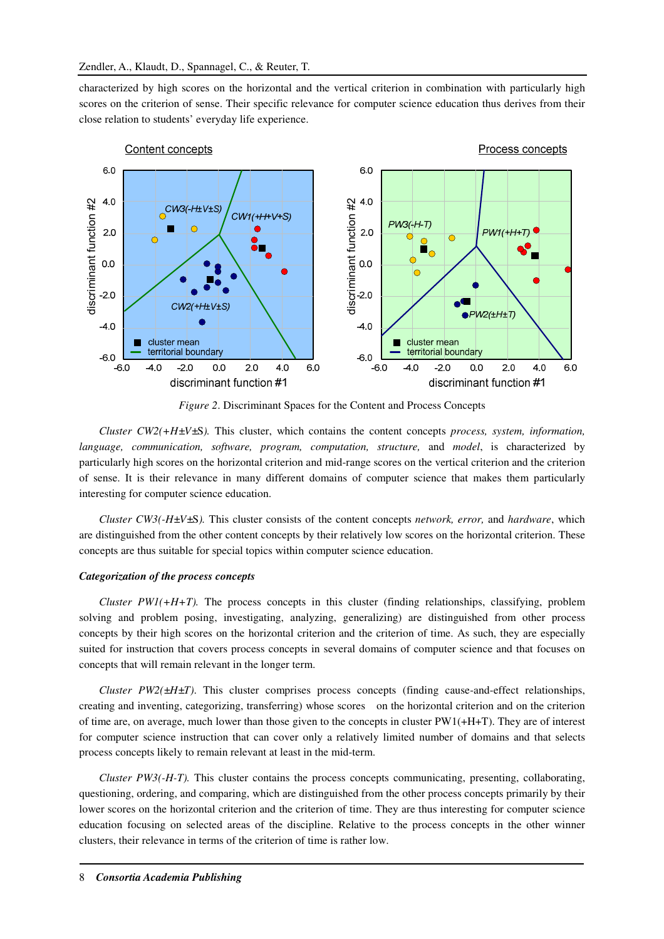characterized by high scores on the horizontal and the vertical criterion in combination with particularly high scores on the criterion of sense. Their specific relevance for computer science education thus derives from their close relation to students' everyday life experience.



*Figure 2*. Discriminant Spaces for the Content and Process Concepts

*Cluster CW2(+H±V±*S*).* This cluster, which contains the content concepts *process, system, information, language, communication, software, program, computation, structure,* and *model*, is characterized by particularly high scores on the horizontal criterion and mid-range scores on the vertical criterion and the criterion of sense. It is their relevance in many different domains of computer science that makes them particularly interesting for computer science education.

*Cluster CW3(-H±V±*S*).* This cluster consists of the content concepts *network, error,* and *hardware*, which are distinguished from the other content concepts by their relatively low scores on the horizontal criterion. These concepts are thus suitable for special topics within computer science education.

#### *Categorization of the process concepts*

*Cluster PW1(+H+T).* The process concepts in this cluster (finding relationships, classifying, problem solving and problem posing, investigating, analyzing, generalizing) are distinguished from other process concepts by their high scores on the horizontal criterion and the criterion of time. As such, they are especially suited for instruction that covers process concepts in several domains of computer science and that focuses on concepts that will remain relevant in the longer term.

*Cluster PW2(* $\pm H \pm T$ *)*. This cluster comprises process concepts (finding cause-and-effect relationships, creating and inventing, categorizing, transferring) whose scores on the horizontal criterion and on the criterion of time are, on average, much lower than those given to the concepts in cluster PW1(+H+T). They are of interest for computer science instruction that can cover only a relatively limited number of domains and that selects process concepts likely to remain relevant at least in the mid-term.

*Cluster PW3(-H-T).* This cluster contains the process concepts communicating, presenting, collaborating, questioning, ordering, and comparing, which are distinguished from the other process concepts primarily by their lower scores on the horizontal criterion and the criterion of time. They are thus interesting for computer science education focusing on selected areas of the discipline. Relative to the process concepts in the other winner clusters, their relevance in terms of the criterion of time is rather low.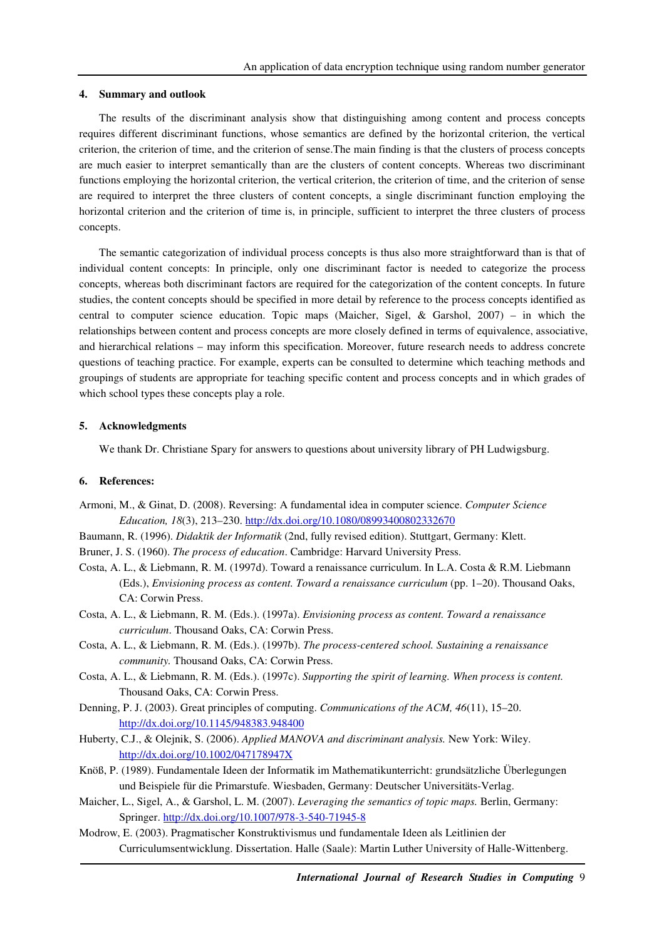#### **4. Summary and outlook**

The results of the discriminant analysis show that distinguishing among content and process concepts requires different discriminant functions, whose semantics are defined by the horizontal criterion, the vertical criterion, the criterion of time, and the criterion of sense.The main finding is that the clusters of process concepts are much easier to interpret semantically than are the clusters of content concepts. Whereas two discriminant functions employing the horizontal criterion, the vertical criterion, the criterion of time, and the criterion of sense are required to interpret the three clusters of content concepts, a single discriminant function employing the horizontal criterion and the criterion of time is, in principle, sufficient to interpret the three clusters of process concepts.

The semantic categorization of individual process concepts is thus also more straightforward than is that of individual content concepts: In principle, only one discriminant factor is needed to categorize the process concepts, whereas both discriminant factors are required for the categorization of the content concepts. In future studies, the content concepts should be specified in more detail by reference to the process concepts identified as central to computer science education. Topic maps (Maicher, Sigel, & Garshol, 2007) – in which the relationships between content and process concepts are more closely defined in terms of equivalence, associative, and hierarchical relations – may inform this specification. Moreover, future research needs to address concrete questions of teaching practice. For example, experts can be consulted to determine which teaching methods and groupings of students are appropriate for teaching specific content and process concepts and in which grades of which school types these concepts play a role.

## **5. Acknowledgments**

We thank Dr. Christiane Spary for answers to questions about university library of PH Ludwigsburg.

#### **6. References:**

- Armoni, M., & Ginat, D. (2008). Reversing: A fundamental idea in computer science. *Computer Science Education, 18*(3), 213–230. http://dx.doi.org/10.1080/08993400802332670
- Baumann, R. (1996). *Didaktik der Informatik* (2nd, fully revised edition). Stuttgart, Germany: Klett.
- Bruner, J. S. (1960). *The process of education*. Cambridge: Harvard University Press.
- Costa, A. L., & Liebmann, R. M. (1997d). Toward a renaissance curriculum. In L.A. Costa & R.M. Liebmann (Eds.), *Envisioning process as content. Toward a renaissance curriculum* (pp. 1–20). Thousand Oaks, CA: Corwin Press.
- Costa, A. L., & Liebmann, R. M. (Eds.). (1997a). *Envisioning process as content. Toward a renaissance curriculum*. Thousand Oaks, CA: Corwin Press.
- Costa, A. L., & Liebmann, R. M. (Eds.). (1997b). *The process-centered school. Sustaining a renaissance community.* Thousand Oaks, CA: Corwin Press.
- Costa, A. L., & Liebmann, R. M. (Eds.). (1997c). *Supporting the spirit of learning. When process is content.* Thousand Oaks, CA: Corwin Press.
- Denning, P. J. (2003). Great principles of computing. *Communications of the ACM, 46*(11), 15–20. http://dx.doi.org/10.1145/948383.948400
- Huberty, C.J., & Olejnik, S. (2006). *Applied MANOVA and discriminant analysis.* New York: Wiley. http://dx.doi.org/10.1002/047178947X
- Knöß, P. (1989). Fundamentale Ideen der Informatik im Mathematikunterricht: grundsätzliche Überlegungen und Beispiele für die Primarstufe. Wiesbaden, Germany: Deutscher Universitäts-Verlag.
- Maicher, L., Sigel, A., & Garshol, L. M. (2007). *Leveraging the semantics of topic maps.* Berlin, Germany: Springer. http://dx.doi.org/10.1007/978-3-540-71945-8
- Modrow, E. (2003). Pragmatischer Konstruktivismus und fundamentale Ideen als Leitlinien der Curriculumsentwicklung. Dissertation. Halle (Saale): Martin Luther University of Halle-Wittenberg.